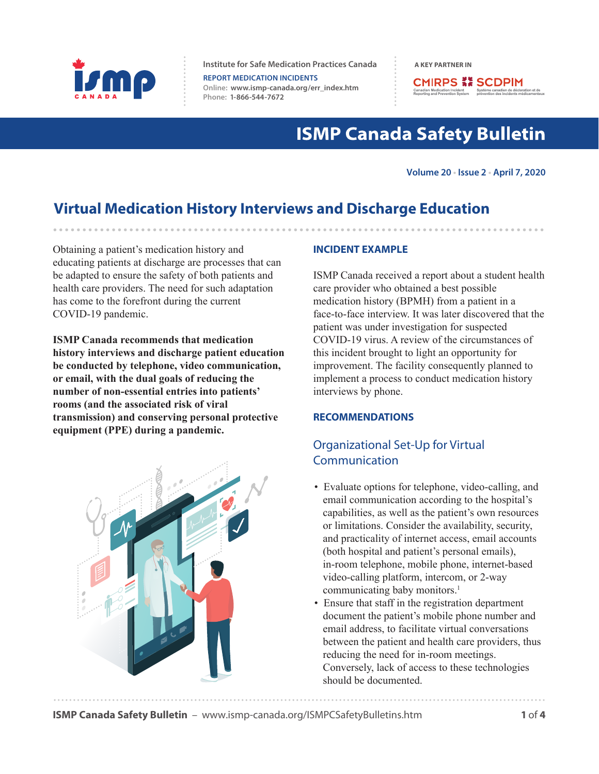

**Institute for Safe Medication Practices Canada A KEY PARTNER IN** 

**REPORT MEDICATION INCIDENTS Online:  [www.ismp-canada.org/err\\_index.htm](http://www.ismp-canada.org/err_index.htm)  Phone: 1-866-544-7672**

**CMIRPS ## SCDPIM** Medication Incident<br>
and Prevention System<br>
prévention des inc

# **ISMP Canada Safety Bulletin**

**Volume 20 • Issue 2 • April 7, 2020**

# **Virtual Medication History Interviews and Discharge Education**

Obtaining a patient's medication history and educating patients at discharge are processes that can be adapted to ensure the safety of both patients and health care providers. The need for such adaptation has come to the forefront during the current COVID-19 pandemic.

**ISMP Canada recommends that medication history interviews and discharge patient education be conducted by telephone, video communication, or email, with the dual goals of reducing the number of non-essential entries into patients' rooms (and the associated risk of viral transmission) and conserving personal protective equipment (PPE) during a pandemic.** 



#### **INCIDENT EXAMPLE**

ISMP Canada received a report about a student health care provider who obtained a best possible medication history (BPMH) from a patient in a face-to-face interview. It was later discovered that the patient was under investigation for suspected COVID-19 virus. A review of the circumstances of this incident brought to light an opportunity for improvement. The facility consequently planned to implement a process to conduct medication history interviews by phone.

#### **RECOMMENDATIONS**

### Organizational Set-Up for Virtual Communication

- Evaluate options for telephone, video-calling, and email communication according to the hospital's capabilities, as well as the patient's own resources or limitations. Consider the availability, security, and practicality of internet access, email accounts (both hospital and patient's personal emails), in-room telephone, mobile phone, internet-based video-calling platform, intercom, or 2-way communicating baby monitors.<sup>1</sup>
- Ensure that staff in the registration department document the patient's mobile phone number and email address, to facilitate virtual conversations between the patient and health care providers, thus reducing the need for in-room meetings. Conversely, lack of access to these technologies should be documented.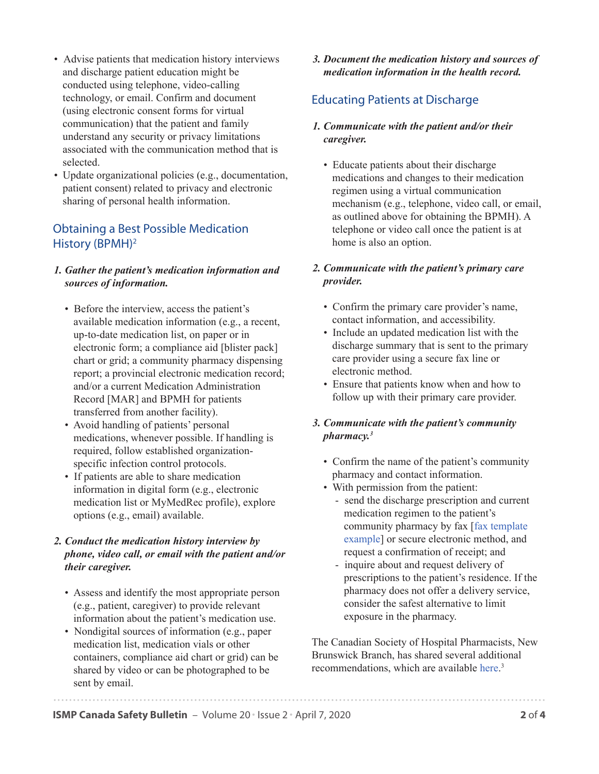- Advise patients that medication history interviews and discharge patient education might be conducted using telephone, video-calling technology, or email. Confirm and document (using electronic consent forms for virtual communication) that the patient and family understand any security or privacy limitations associated with the communication method that is selected.
- Update organizational policies (e.g., documentation, patient consent) related to privacy and electronic sharing of personal health information.

### Obtaining a Best Possible Medication History (BPMH)2

#### *1. Gather the patient's medication information and sources of information.*

- Before the interview, access the patient's available medication information (e.g., a recent, up-to-date medication list, on paper or in electronic form; a compliance aid [blister pack] chart or grid; a community pharmacy dispensing report; a provincial electronic medication record; and/or a current Medication Administration Record [MAR] and BPMH for patients transferred from another facility).
- Avoid handling of patients' personal medications, whenever possible. If handling is required, follow established organizationspecific infection control protocols.
- If patients are able to share medication information in digital form (e.g., electronic medication list or MyMedRec profile), explore options (e.g., email) available.

#### *2. Conduct the medication history interview by phone, video call, or email with the patient and/or their caregiver.*

- Assess and identify the most appropriate person (e.g., patient, caregiver) to provide relevant information about the patient's medication use.
- Nondigital sources of information (e.g., paper medication list, medication vials or other containers, compliance aid chart or grid) can be shared by video or can be photographed to be sent by email.

#### *3. Document the medication history and sources of medication information in the health record.*

### Educating Patients at Discharge

#### *1. Communicate with the patient and/or their caregiver.*

• Educate patients about their discharge medications and changes to their medication regimen using a virtual communication mechanism (e.g., telephone, video call, or email, as outlined above for obtaining the BPMH). A telephone or video call once the patient is at home is also an option.

### *2. Communicate with the patient's primary care provider.*

- Confirm the primary care provider's name, contact information, and accessibility.
- Include an updated medication list with the discharge summary that is sent to the primary care provider using a secure fax line or electronic method.
- Ensure that patients know when and how to follow up with their primary care provider.

### *3. Communicate with the patient's community pharmacy.3*

- Confirm the name of the patient's community pharmacy and contact information.
- With permission from the patient:
	- send the discharge prescription and current medication regimen to the patient's community pharmacy by fax [\[fax template](https://www.ismp-canada.org/download/Fax-Template-Example.docx)  [example\]](https://www.ismp-canada.org/download/Fax-Template-Example.docx) or secure electronic method, and request a confirmation of receipt; and
	- inquire about and request delivery of prescriptions to the patient's residence. If the pharmacy does not offer a delivery service, consider the safest alternative to limit exposure in the pharmacy.

[The Canadian Society of Hospital Pharmacists, New](https://www.cshp.ca/sites/default/files/files/Advocacy/COVID19/CSHP-NB-Patient-Discharge-Tips-COVID19.pdf)  Brunswick Branch, has shared several additional recommendations, which are available here.<sup>3</sup>

**ISMP Canada Safety Bulletin** – Volume 20 • Issue 2 • April 7, 2020 **2** of **4**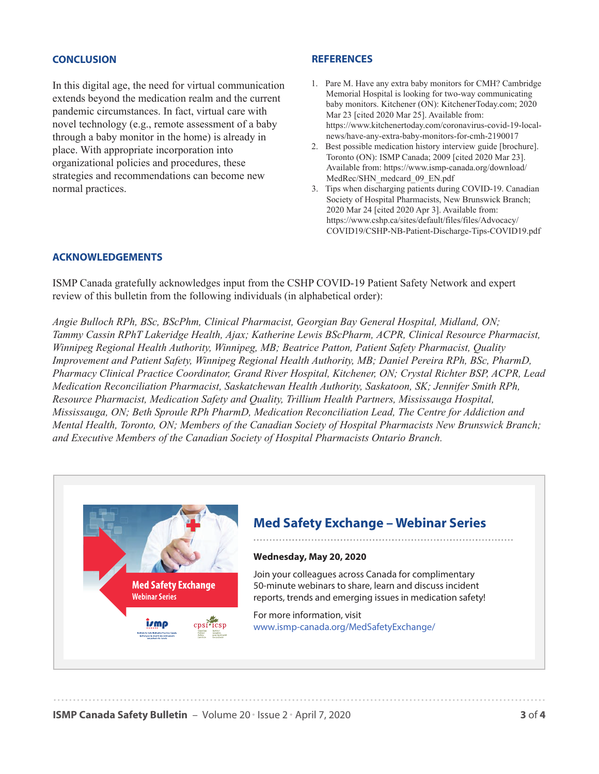#### **CONCLUSION**

In this digital age, the need for virtual communication extends beyond the medication realm and the current pandemic circumstances. In fact, virtual care with novel technology (e.g., remote assessment of a baby through a baby monitor in the home) is already in place. With appropriate incorporation into organizational policies and procedures, these strategies and recommendations can become new normal practices.

#### **REFERENCES**

- [1. Pare M. Have any extra baby monitors for CMH? Cambridge](https://www.kitchenertoday.com/coronavirus-covid-19-local-news/have-any-extra-baby-monitors-for-cmh-2190017)  Memorial Hospital is looking for two-way communicating baby monitors. Kitchener (ON): KitchenerToday.com; 2020 Mar 23 [cited 2020 Mar 25]. Available from: https://www.kitchenertoday.com/coronavirus-covid-19-localnews/have-any-extra-baby-monitors-for-cmh-2190017
- [2. Best possible medication history interview guide \[brochure\].](https://www.ismp-canada.org/download/MedRec/SHN_medcard_09_EN.pdf)  Toronto (ON): ISMP Canada; 2009 [cited 2020 Mar 23]. Available from: https://www.ismp-canada.org/download/ MedRec/SHN\_medcard\_09\_EN.pdf
- 3. Tips when discharging patients during COVID-19. Canadian Society of Hospital Pharmacists, New Brunswick Branch; 2020 Mar 24 [cited 2020 Apr 3]. Available from: https://www.cshp.ca/sites/default/files/files/Advocacy/ [COVID19/CSHP-NB-Patient-Discharge-Tips-COVID19.pdf](https://www.cshp.ca/sites/default/files/files/Advocacy/COVID19/CSHP-NB-Patient-Discharge-Tips-COVID19.pdf)

#### **ACKNOWLEDGEMENTS**

ISMP Canada gratefully acknowledges input from the CSHP COVID-19 Patient Safety Network and expert review of this bulletin from the following individuals (in alphabetical order):

*Angie Bulloch RPh, BSc, BScPhm, Clinical Pharmacist, Georgian Bay General Hospital, Midland, ON; Tammy Cassin RPhT Lakeridge Health, Ajax; Katherine Lewis BScPharm, ACPR, Clinical Resource Pharmacist, Winnipeg Regional Health Authority, Winnipeg, MB; Beatrice Patton, Patient Safety Pharmacist, Quality Improvement and Patient Safety, Winnipeg Regional Health Authority, MB; Daniel Pereira RPh, BSc, PharmD, Pharmacy Clinical Practice Coordinator, Grand River Hospital, Kitchener, ON; Crystal Richter BSP, ACPR, Lead Medication Reconciliation Pharmacist, Saskatchewan Health Authority, Saskatoon, SK; Jennifer Smith RPh, Resource Pharmacist, Medication Safety and Quality, Trillium Health Partners, Mississauga Hospital, Mississauga, ON; Beth Sproule RPh PharmD, Medication Reconciliation Lead, The Centre for Addiction and Mental Health, Toronto, ON; Members of the Canadian Society of Hospital Pharmacists New Brunswick Branch; and Executive Members of the Canadian Society of Hospital Pharmacists Ontario Branch.*